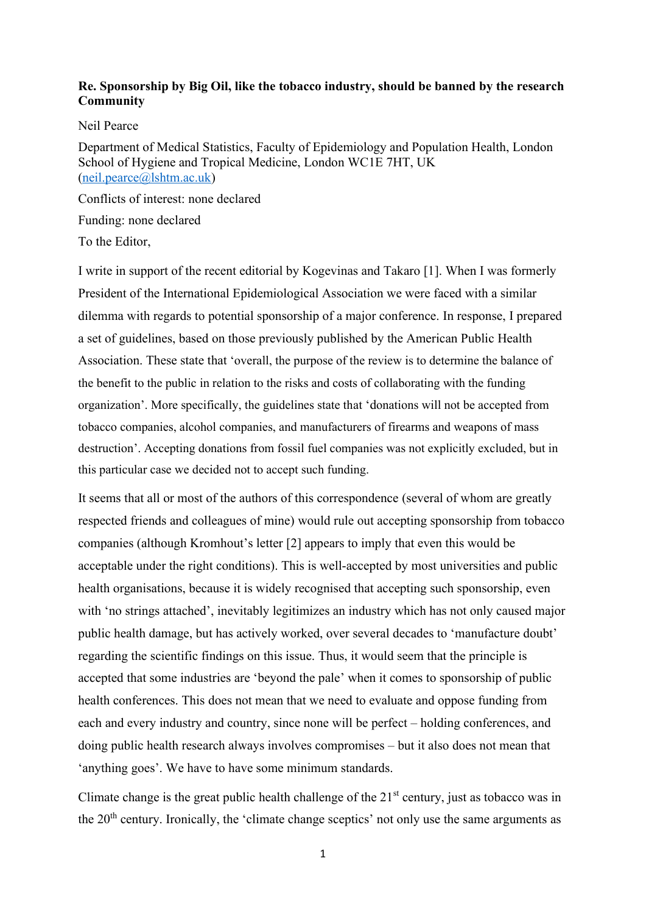## **Re. Sponsorship by Big Oil, like the tobacco industry, should be banned by the research Community**

Neil Pearce

Department of Medical Statistics, Faculty of Epidemiology and Population Health, London School of Hygiene and Tropical Medicine, London WC1E 7HT, UK [\(neil.pearce@lshtm.ac.uk\)](mailto:neil.pearce@lshtm.ac.uk)

Conflicts of interest: none declared Funding: none declared

To the Editor,

I write in support of the recent editorial by Kogevinas and Takaro [1]. When I was formerly President of the International Epidemiological Association we were faced with a similar dilemma with regards to potential sponsorship of a major conference. In response, I prepared a set of guidelines, based on those previously published by the American Public Health Association. These state that 'overall, the purpose of the review is to determine the balance of the benefit to the public in relation to the risks and costs of collaborating with the funding organization'. More specifically, the guidelines state that 'donations will not be accepted from tobacco companies, alcohol companies, and manufacturers of firearms and weapons of mass destruction'. Accepting donations from fossil fuel companies was not explicitly excluded, but in this particular case we decided not to accept such funding.

It seems that all or most of the authors of this correspondence (several of whom are greatly respected friends and colleagues of mine) would rule out accepting sponsorship from tobacco companies (although Kromhout's letter [2] appears to imply that even this would be acceptable under the right conditions). This is well-accepted by most universities and public health organisations, because it is widely recognised that accepting such sponsorship, even with 'no strings attached', inevitably legitimizes an industry which has not only caused major public health damage, but has actively worked, over several decades to 'manufacture doubt' regarding the scientific findings on this issue. Thus, it would seem that the principle is accepted that some industries are 'beyond the pale' when it comes to sponsorship of public health conferences. This does not mean that we need to evaluate and oppose funding from each and every industry and country, since none will be perfect – holding conferences, and doing public health research always involves compromises – but it also does not mean that 'anything goes'. We have to have some minimum standards.

Climate change is the great public health challenge of the  $21<sup>st</sup>$  century, just as tobacco was in the 20<sup>th</sup> century. Ironically, the 'climate change sceptics' not only use the same arguments as